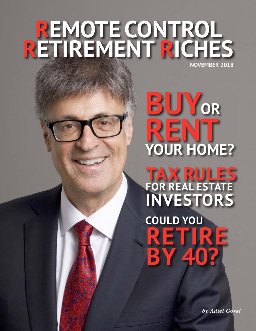# REMOTE CONTROL NOVEMBER 2018

OR YOUR HOME?

TAX RULES<br>FOR REAL ESTATE INVESTORS **COULD YOU** 

40

by Adiel Gorel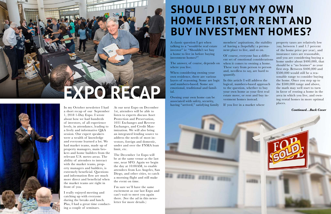# **ExPO RECaP**



In my October newsletter I had a short recap of our September 1, 2018 1-Day Expo. I wrote about how we had hundreds of investors, of all experience levels, in attendance, leading to a lively and informative Q&A session. Our expert speakers were a wealth of knowledge and everyone learned a lot. We had market teams, made up of property managers, main brokers and home builders from the relevant U.S. metro areas. The ability of attendees to interact with the market teams, property managers and builders, is extremely beneficial. Questions and information flow are much more direct and beneficial when the market teams are right in front of you.

I really enjoyed meeting and catching up with everyone during the breaks and lunch. Plus, I had a great time conducting a couple of seminars.

Owning your own home can be associated with safety, security, having "arrived," satisfying family

At our next Expo on December 1st, attendees will be able to listen to experts discuss Asset Protection and Preservation, 1031 Exchanges and Reverse Exchanges, and Credit Maximization. We will also bring an integrated lending source to address the needs of most investors, foreign and domestic, under and over the FNMA loan limit, etc.

The December 1st Expo will be at the same venue as the last one, near SFO. Again we begin the day at 10:00AM, to enable attendees from Los Angeles, San Diego, and other cities, to catch a morning flight and still make the event on time.

I'm sure we'll have the same excitement as our last Expo and can't wait to meet you again there. (See the ad in this newsletter for more details.)

# **SHOULD I BUY MY OWN HOME fIRsT, OR RENT aNd BUY INvEsTMENT HOMEs?**

A classic question I get when talking to a "would-be real estate investor" is: "Shouldn't we buy a home to live in before buying investment homes?"

The answer, of course, depends on where you live.

When considering owning your own residence, there are various layers of reasoning. Some are logic and numbers-based. Some are emotional, traditional and familial.

members' aspirations, the stability of having a (hopefully) a permanent place to live, and so on.

Of course, everyone has a different set of emotional considerations when it comes to owning a home. These vary from person to person and, needless to say, are hard to quantify.

In this article I will address the logical, numbers-based approach to the question, whether to buy your own home as your first real estate move, or rent and buy investment homes instead.

If you live in a market where



property taxes are relatively low (say, between 1 and 1.7 percent of the home price per year), and insurance rates are reasonable, and you are considering buying a home under about \$400,000, that should be a "no brainer" as your first step. Between \$400,000 and \$500,000 would still be a reasonable range to consider buying the home. Once you step up to the \$500,000 range and above, the math may well start to turn in favor of renting a home in the area in which you live, and owning rental homes in more optimal places.

*Continued…Back Cover*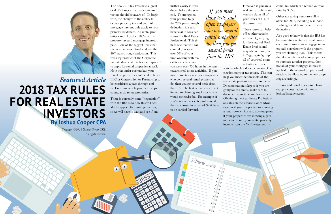The new 2018 tax laws have a great deal of changes that real estate investors should be aware of. To begin with, the changes to the ability to deduct property tax and your full mortgage interest, only apply to your primary residences. All rental properties can still deduct 100% of their property tax and mortgage interest paid. One of the biggest items that the new tax laws introduced was the 20% pass-through deduction. This was a by-product of the Corporate tax rate drop and has been interpreted to apply for rental properties as well. Note that under current law, your rental property does not need to be an LLC or Corporation or Partnership to be considered a pass-through entity. Even simple sole proprietorships count, as do rental properties.

There is currently some "negotiation" with the IRS as to how this will actually be applied for rental properties, so we will have to wait and see if any

further clarity is introduced before the year end. To strengthen your position to get the 20% pass-through deduction, it is also beneficial to consider yourself a Real Estate Professional. This title is one that you can claim if you spend over 50% of your time working with real estate endeavors and

you work over 750 hours in the year towards real estate activities. If you meet those tests, and often taxpayers who own several rental properties do, then you get several perks from the IRS. The first is that you are not limited to claiming any losses as you would otherwise be. For example, if you're not a real estate professional, then any losses in excess of \$25k have to be carried forward.

 $20$ Monday

 $\mathsf{C}$ ಾ ់ว

However, if you are a real estate professional, you can claim all of your losses in full, in the current year.

These losses can help offset other taxable income. Qualifying for the status of Real Estate Professional may also require you to "aggregate/group" all of your real estate activities into one activity, which is done by means of an election on your tax return. This can help you meet the threshold of the real estate professional requirements. Documentation is key, so if you are going for this status, make sure to document your time and hours spent. Obtaining the Real Estate Professional status on the surface is only advantageous if your properties are showing a loss, however, it is also advantageous if your properties are showing a gain as it can exempt your rental property income from the Net Investment Income Tax which can reduce your tax rates by 3.8%.

Other tax saving items are still in affect for 2018, including Like-Kind Exchanges and home office expense deductions.

Also good to know is that the IRS has been auditing rental real estate owners to make sure your mortgage interest paid correlates with the property you are claiming it on. This means that if you refi one of your properties to purchase another property, then not all of your mortgage interest is applied to the original property and needs to be allocated to the new property accordingly.

For any additional questions, please set up a consultation with me at: joshua@taxlovin.com.



# *Featured Article* **2018 Tax RUlEs fOR REal EsTaTE INvEsTORs By Joshua Cooper CPa**

*Copyright ©2018 Joshua Cooper CPA. All rights reserved.* 

*If you meet those tests, and often taxpayers who own several rental properties do, then you get several perks from the IRS.*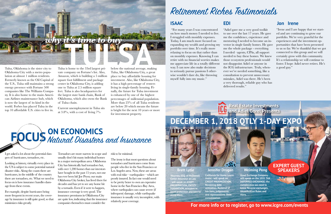Tulsa, Oklahoma is the sister city to Oklahoma City with a metro population at almost 1 million residents. Formerly known as the Oil Capital of the U.S., Tulsa still maintains a strong energy presence with Fortune 500 companies like The Williams Company. It is also home to the main American Airlines maintenance hub, which is now the largest of its kind in the world. Forbes has placed Tulsa in the top 10 affordable U.S. cities to live in.

Current unemployment in Tulsa sits at  $3.8\%$ , with a cost of living  $7\%$ 

Tulsa is home to the 33rd largest private company on Fortune's list. Also, Amazon, which is building a 5 million square foot fulfillment and package center in Oklahoma City, is adding one to Tulsa at 2.5 million square feet. Tulsa is also headquarters for the largest state bank chain, Bank of Oklahoma, which also owns the Bank of Tulsa chain.

below the national average, making Tulsa, like Oklahoma City, a great place to buy affordable housing for investment. Also, like Oklahoma City, it has a high percentage of renters living in single-family housing. Finally, the future for Tulsa investment is enhanced by one of the highest percentages of millennial population. More than 25% of all Tulsa residents are below 20 which means the future is bright for the next 10 years or more for investment property.

I get asked a lot about the potential dangers of hurricanes, tornadoes, etc.

Looking at history, virtually every place in the US is subject to some potential natural disaster risks. Along the coasts there are hurricanes, in the middle of the country there are tornadoes, etc. What we need to focus on is how insurance handles damage from these events.

For example, despite hurricanes being more frequent in recent years, the coverage by insurance is still quite good, so that minimizes risks greatly.

Tornadoes are more narrow in scope and usually don't hit many individual homes in a major metropolitan area. Oklahoma City has historically had tornadoes but, with over 1,200 homes that our investors have bought in the past 15 years, not one has ever been hit! Joe Pryor, our main Oklahoma City broker, has lived there for decades and has yet to see any home hit by a tornado. Even if it were to happen, insurance coverage is very good. The insurance premiums in Oklahoma City are quite low, indicating that the insurance companies themselves must consider the



risk to be minimal.

The irony is that most questions about tornadoes and hurricanes come from people who live in the San Francisco or Los Angeles area. Now, these are areas with real risks—earthquakes—which are poorly insured. In fact one would need to be pretty brave to own an expensive home in the San Francisco Bay Area, where earthquakes can cause severe (if infrequent) damage, while earthquake insurance is usually very incomplete, with relatively poor coverage.

# **ON ECONOMICs** Natural Disasters and Insurance

# **Real Estate Investments and adiel Gorel Presents**



**attorney, EsQ. of Mcdowall Cotter attorneys at law - will speak on assET PREsERvaTION, ENTITY fORMaTION, mistakes in asset protection and how to** 

**avoid them.**

### **Jennifer Drugan**

**California for Home loans assist - will speak on CREdIT MaxIMIZaTION. Revolving debt utilization. Removal of tax liens, judgements and repossessions. debt consolidation.** 

### **weiming Peng**

**asset Exchange Company will speak on the 1031 Tax DEFERRED EXCHANGE; the complexities we need to know. Reverse exchanges. Identification Rules and more.**

### **ExPERT GUEsT sPEaKERs**

### **IsaaC**

 "For many years I was concentrated on how much money I needed to live. I struggled with monthly expenses. Today, I am much more focused on expanding my wealth and growing my portfolio over time. It's really more relaxing to focus on that rather than on monthly expenses. Knowing I can retire with no financial worries makes me appreciate life in a totally different way. I can now also make decisions to seriously pursue passions I otherwise wouldn't dare do, like throwing myself fully into my music."

**EdI**

"Adiel gave me a very good toolkit to use over the last 17 years. He gave me the confidence, experience and mentoring I needed to become an investor in single family homes. He gave me the whole package - everything I needed –agents, CPAs, all support needed to buy these homes. We knew those ecosystem professionals would not disappoint Adiel or anyone in the ICG infrastructure. Truly, whenever we've needed something, like a consultation to prevent unnecessary mistakes, Adiel was there. He's been a very thorough, reliable guy who has delivered results."

### **Jon Irene**

"Irene and I are happy that we started and are continuing to grow our portfolio. We're very grateful for the experiences and the investment opportunities that have been presented to us so far. We're thankful that we got connected to this group and we will certainly grow with this community. It's a relationship we will continue to foster. I hope Adiel never retires. He's a good guy."

# Retirement Riches Testimonials

**for more info or to register, go to www.icgre.com/events**